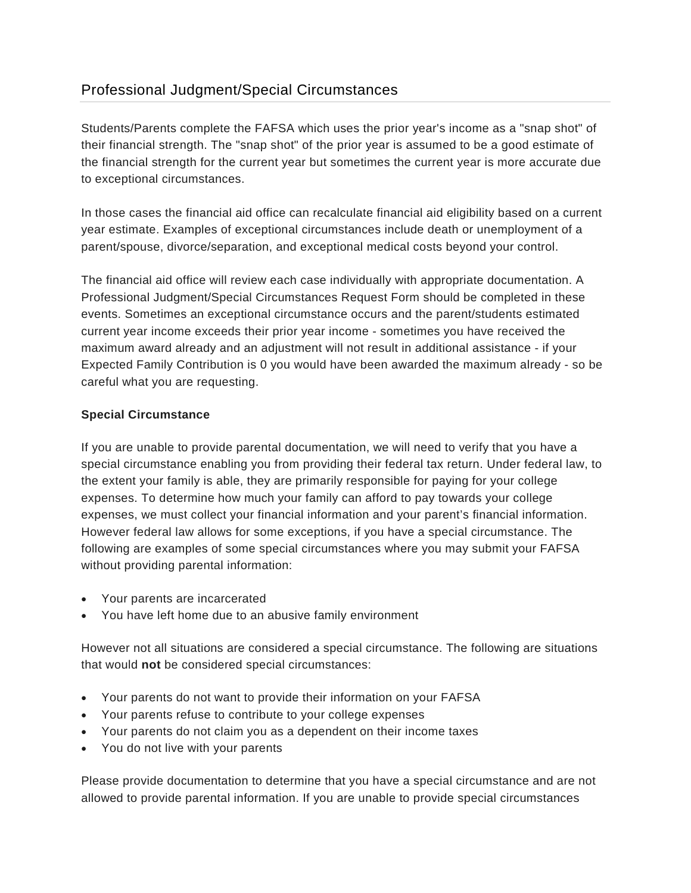## Professional Judgment/Special Circumstances

Students/Parents complete the FAFSA which uses the prior year's income as a "snap shot" of their financial strength. The "snap shot" of the prior year is assumed to be a good estimate of the financial strength for the current year but sometimes the current year is more accurate due to exceptional circumstances.

In those cases the financial aid office can recalculate financial aid eligibility based on a current year estimate. Examples of exceptional circumstances include death or unemployment of a parent/spouse, divorce/separation, and exceptional medical costs beyond your control.

The financial aid office will review each case individually with appropriate documentation. A Professional Judgment/Special Circumstances Request Form should be completed in these events. Sometimes an exceptional circumstance occurs and the parent/students estimated current year income exceeds their prior year income - sometimes you have received the maximum award already and an adjustment will not result in additional assistance - if your Expected Family Contribution is 0 you would have been awarded the maximum already - so be careful what you are requesting.

## **Special Circumstance**

If you are unable to provide parental documentation, we will need to verify that you have a special circumstance enabling you from providing their federal tax return. Under federal law, to the extent your family is able, they are primarily responsible for paying for your college expenses. To determine how much your family can afford to pay towards your college expenses, we must collect your financial information and your parent's financial information. However federal law allows for some exceptions, if you have a special circumstance. The following are examples of some special circumstances where you may submit your FAFSA without providing parental information:

- Your parents are incarcerated
- You have left home due to an abusive family environment

However not all situations are considered a special circumstance. The following are situations that would **not** be considered special circumstances:

- Your parents do not want to provide their information on your FAFSA
- Your parents refuse to contribute to your college expenses
- Your parents do not claim you as a dependent on their income taxes
- You do not live with your parents

Please provide documentation to determine that you have a special circumstance and are not allowed to provide parental information. If you are unable to provide special circumstances